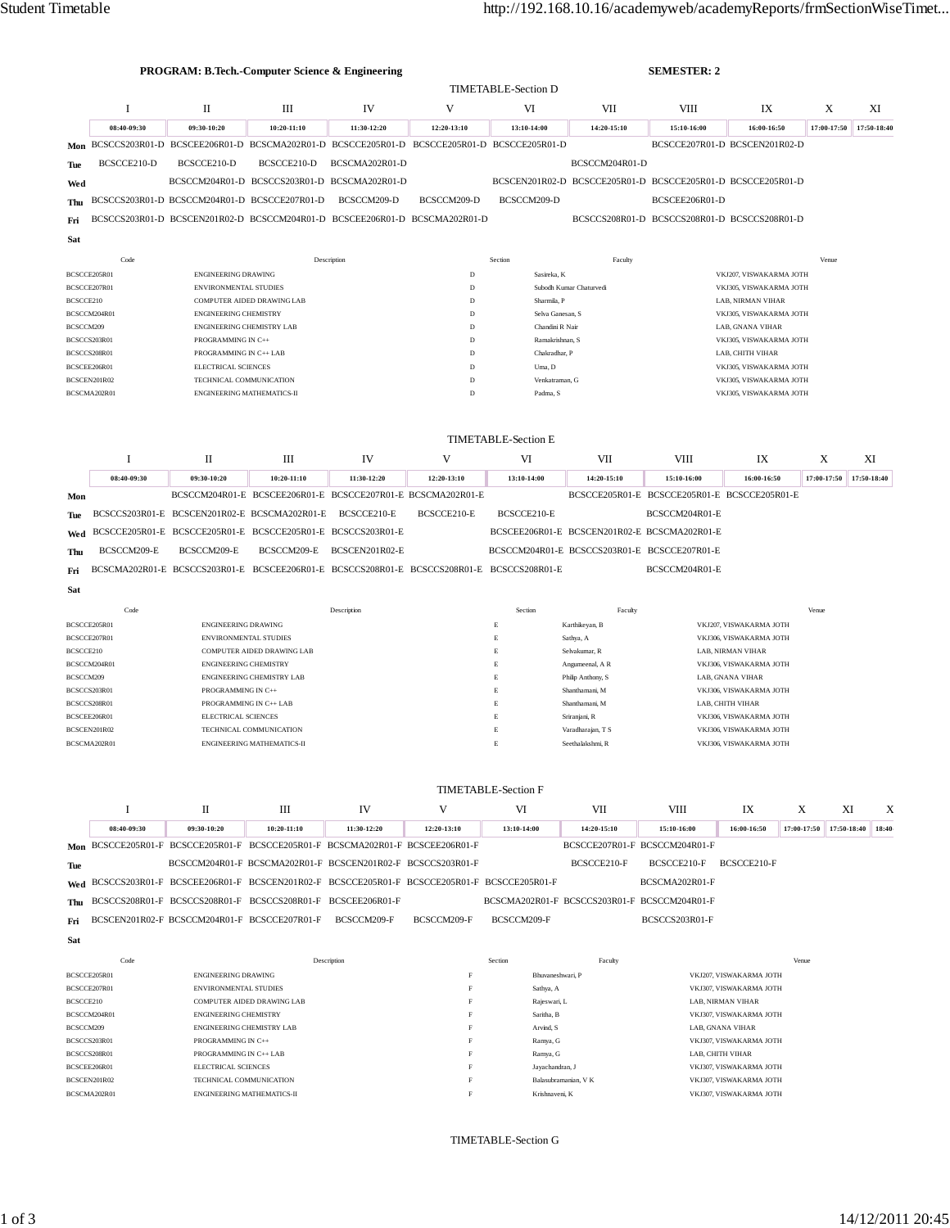|                                                                                        | <b>PROGRAM: B.Tech.-Computer Science &amp; Engineering</b> |                                                     |                                                                                                          |                                                                                                                            | <b>SEMESTER: 2</b>               |                                                             |                                                             |                               |                                                    |                         |             |             |
|----------------------------------------------------------------------------------------|------------------------------------------------------------|-----------------------------------------------------|----------------------------------------------------------------------------------------------------------|----------------------------------------------------------------------------------------------------------------------------|----------------------------------|-------------------------------------------------------------|-------------------------------------------------------------|-------------------------------|----------------------------------------------------|-------------------------|-------------|-------------|
|                                                                                        |                                                            |                                                     |                                                                                                          |                                                                                                                            | <b>TIMETABLE-Section D</b>       |                                                             |                                                             |                               |                                                    |                         |             |             |
|                                                                                        | $\mathbf I$                                                | $_{\rm II}$                                         | III                                                                                                      | <b>IV</b>                                                                                                                  | V                                | VI                                                          | VII                                                         | <b>VIII</b>                   | IX                                                 |                         | X           | XI          |
|                                                                                        | 08:40-09:30                                                | 09:30-10:20                                         | $10:20 - 11:10$                                                                                          | 11:30-12:20                                                                                                                | 12:20-13:10                      | 13:10-14:00                                                 | 14:20-15:10                                                 | 15:10-16:00                   | 16:00-16:50                                        |                         | 17:00-17:50 | 17:50-18:40 |
|                                                                                        |                                                            |                                                     | Mon BCSCCS203R01-D BCSCEE206R01-D BCSCMA202R01-D BCSCCE205R01-D BCSCCE205R01-D BCSCCE205R01-D            |                                                                                                                            |                                  |                                                             |                                                             | BCSCCE207R01-D BCSCEN201R02-D |                                                    |                         |             |             |
| Tue                                                                                    | BCSCCE210-D                                                | BCSCCE210-D                                         | BCSCCE210-D                                                                                              | BCSCMA202R01-D                                                                                                             |                                  |                                                             | BCSCCM204R01-D                                              |                               |                                                    |                         |             |             |
| Wed                                                                                    |                                                            |                                                     | BCSCCM204R01-D BCSCCS203R01-D BCSCMA202R01-D                                                             |                                                                                                                            |                                  |                                                             | BCSCEN201R02-D BCSCCE205R01-D BCSCCE205R01-D BCSCCE205R01-D |                               |                                                    |                         |             |             |
| Thu                                                                                    |                                                            |                                                     | BCSCCS203R01-D BCSCCM204R01-D BCSCCE207R01-D                                                             | BCSCCM209-D                                                                                                                | BCSCCM209-D                      | BCSCCM209-D                                                 |                                                             | BCSCEE206R01-D                |                                                    |                         |             |             |
| Fri                                                                                    |                                                            |                                                     |                                                                                                          | BCSCCS203R01-D BCSCEN201R02-D BCSCCM204R01-D BCSCEE206R01-D BCSCMA202R01-D<br>BCSCCS208R01-D BCSCCS208R01-D BCSCCS208R01-D |                                  |                                                             |                                                             |                               |                                                    |                         |             |             |
|                                                                                        |                                                            |                                                     |                                                                                                          |                                                                                                                            |                                  |                                                             |                                                             |                               |                                                    |                         |             |             |
| Sat                                                                                    |                                                            |                                                     |                                                                                                          |                                                                                                                            |                                  |                                                             |                                                             |                               |                                                    |                         |             |             |
|                                                                                        | Code                                                       |                                                     |                                                                                                          | Description                                                                                                                |                                  | Section                                                     | Faculty                                                     |                               |                                                    |                         | Venue       |             |
| BCSCCE205R01<br>BCSCCE207R01                                                           |                                                            | <b>ENGINEERING DRAWING</b><br>ENVIRONMENTAL STUDIES |                                                                                                          |                                                                                                                            | $\overline{D}$<br>$\overline{D}$ | Sasireka, K                                                 | Subodh Kumar Chaturvedi                                     |                               | VKJ207, VISWAKARMA JOTH<br>VKJ305, VISWAKARMA JOTH |                         |             |             |
| BCSCCE210                                                                              |                                                            |                                                     | COMPUTER AIDED DRAWING LAB                                                                               |                                                                                                                            | $\overline{D}$                   | Sharmila. P                                                 |                                                             |                               | LAB, NIRMAN VIHAR                                  |                         |             |             |
| BCSCCM204R01                                                                           |                                                            | ENGINEERING CHEMISTRY                               |                                                                                                          |                                                                                                                            | $\mathbf{D}$                     | Selva Ganesan, S.                                           |                                                             |                               | VKJ305, VISWAKARMA JOTH                            |                         |             |             |
| BCSCCM209                                                                              |                                                            | <b>ENGINEERING CHEMISTRY LAB</b>                    |                                                                                                          |                                                                                                                            | $\overline{D}$                   | Chandini R Nair                                             |                                                             |                               | LAB, GNANA VIHAR                                   |                         |             |             |
| BCSCCS203R01                                                                           |                                                            | PROGRAMMING IN C++                                  |                                                                                                          |                                                                                                                            | $\overline{D}$                   | Ramakrishnan, S                                             |                                                             |                               | VKJ305, VISWAKARMA JOTH                            |                         |             |             |
| BCSCCS208R01                                                                           |                                                            | PROGRAMMING IN C++ LAB                              |                                                                                                          |                                                                                                                            | $\overline{D}$                   | Chakradhar. P                                               |                                                             |                               | LAB, CHITH VIHAR                                   |                         |             |             |
| BCSCEE206R01                                                                           |                                                            | ELECTRICAL SCIENCES                                 |                                                                                                          |                                                                                                                            | D                                | Uma, D                                                      |                                                             |                               | VKJ305, VISWAKARMA JOTH                            |                         |             |             |
|                                                                                        | BCSCEN201R02                                               | TECHNICAL COMMUNICATION                             |                                                                                                          |                                                                                                                            | $\overline{D}$                   | Venkatraman, G                                              |                                                             | VKJ305, VISWAKARMA JOTH       |                                                    |                         |             |             |
|                                                                                        | BCSCMA202R01                                               | ENGINEERING MATHEMATICS-II                          |                                                                                                          |                                                                                                                            | D                                | Padma, S                                                    |                                                             | VKJ305, VISWAKARMA JOTH       |                                                    |                         |             |             |
| <b>TIMETABLE-Section E</b><br>V<br>I<br>П<br>Ш<br>IV<br>VI<br>VII<br><b>VIII</b><br>IX |                                                            |                                                     |                                                                                                          |                                                                                                                            |                                  |                                                             | X                                                           | XI                            |                                                    |                         |             |             |
|                                                                                        | 08:40-09:30                                                | 09:30-10:20                                         | $10:20 - 11:10$                                                                                          | 11:30-12:20                                                                                                                | 12:20-13:10                      | 13:10-14:00                                                 | 14:20-15:10                                                 | 15:10-16:00                   | 16:00-16:50                                        |                         | 17:00-17:50 | 17:50-18:40 |
|                                                                                        |                                                            |                                                     | BCSCCM204R01-E BCSCEE206R01-E BCSCCE207R01-E BCSCMA202R01-E                                              |                                                                                                                            |                                  |                                                             | BCSCCE205R01-E BCSCCE205R01-E BCSCCE205R01-E                |                               |                                                    |                         |             |             |
| Mon                                                                                    |                                                            |                                                     | BCSCCS203R01-E BCSCEN201R02-E BCSCMA202R01-E BCSCCE210-E                                                 |                                                                                                                            | BCSCCE210-E                      | BCSCCE210-E                                                 |                                                             | BCSCCM204R01-E                |                                                    |                         |             |             |
| <b>Tue</b>                                                                             |                                                            |                                                     | BCSCCE205R01-E BCSCCE205R01-E BCSCCE205R01-E BCSCCS203R01-E                                              |                                                                                                                            |                                  |                                                             | BCSCEE206R01-E BCSCEN201R02-E BCSCMA202R01-E                |                               |                                                    |                         |             |             |
| Wed                                                                                    |                                                            |                                                     |                                                                                                          | BCSCEN201R02-E                                                                                                             |                                  |                                                             |                                                             |                               |                                                    |                         |             |             |
| Thu                                                                                    | BCSCCM209-E                                                | BCSCCM209-E                                         | BCSCCM209-E<br>BCSCMA202R01-E BCSCCS203R01-E BCSCEE206R01-E BCSCCS208R01-E BCSCCS208R01-E BCSCCS208R01-E |                                                                                                                            |                                  |                                                             | BCSCCM204R01-E BCSCCS203R01-E BCSCCE207R01-E                | BCSCCM204R01-E                |                                                    |                         |             |             |
| Fri                                                                                    |                                                            |                                                     |                                                                                                          |                                                                                                                            |                                  |                                                             |                                                             |                               |                                                    |                         |             |             |
| Sat                                                                                    |                                                            |                                                     |                                                                                                          |                                                                                                                            |                                  |                                                             |                                                             |                               |                                                    |                         |             |             |
|                                                                                        | Code                                                       |                                                     |                                                                                                          | Description                                                                                                                |                                  | Section                                                     | Faculty                                                     |                               |                                                    | Venue                   |             |             |
| BCSCCE205R01                                                                           |                                                            | <b>ENGINEERING DRAWING</b>                          |                                                                                                          |                                                                                                                            |                                  | $\mathbf E$                                                 | Karthikeyan, B                                              |                               | VKJ207, VISWAKARMA JOTH                            |                         |             |             |
| BCSCCE207R01<br>BCSCCE210                                                              |                                                            |                                                     | ENVIRONMENTAL STUDIES<br>COMPUTER AIDED DRAWING LAB                                                      |                                                                                                                            |                                  | $\mathbf E$<br>$\mathbf E$                                  | Sathya, A<br>Selvakumar, R                                  |                               | VKJ306, VISWAKARMA JOTH<br>LAB, NIRMAN VIHAR       |                         |             |             |
|                                                                                        | BCSCCM204R01                                               | ENGINEERING CHEMISTRY                               |                                                                                                          |                                                                                                                            |                                  | $\mathbf E$                                                 | Angumeenal, A R                                             |                               | VKJ306, VISWAKARMA JOTH                            |                         |             |             |
| BCSCCM209                                                                              |                                                            |                                                     | <b>ENGINEERING CHEMISTRY LAB</b>                                                                         |                                                                                                                            |                                  | $\mathbf{E}$                                                | Philip Anthony, S                                           |                               | LAB, GNANA VIHAR                                   |                         |             |             |
| BCSCCS203R01                                                                           |                                                            | PROGRAMMING IN C++                                  |                                                                                                          |                                                                                                                            |                                  | $\mathbf E$                                                 | Shanthamani, M                                              |                               | VKJ306, VISWAKARMA JOTH                            |                         |             |             |
| BCSCCS208R01                                                                           |                                                            |                                                     | PROGRAMMING IN C++ LAB                                                                                   |                                                                                                                            |                                  | $\mathbf E$                                                 | Shanthamani, M                                              | LAB, CHITH VIHAR              |                                                    |                         |             |             |
| BCSCEE206R01                                                                           |                                                            | ELECTRICAL SCIENCES                                 |                                                                                                          |                                                                                                                            |                                  | E                                                           | Sriraniani, R                                               |                               | VKJ306, VISWAKARMA JOTH                            |                         |             |             |
|                                                                                        | BCSCEN201R02                                               |                                                     | TECHNICAL COMMUNICATION                                                                                  |                                                                                                                            |                                  | $\mathbf E$<br>VKJ306, VISWAKARMA JOTH<br>Varadharajan, T S |                                                             |                               |                                                    |                         |             |             |
|                                                                                        | BCSCMA202R01                                               |                                                     | <b>ENGINEERING MATHEMATICS-II</b>                                                                        |                                                                                                                            |                                  | $\mathbf{E}$                                                | Seethalakshmi, R                                            |                               | VKJ306, VISWAKARMA JOTH                            |                         |             |             |
|                                                                                        |                                                            |                                                     |                                                                                                          |                                                                                                                            |                                  |                                                             |                                                             |                               |                                                    |                         |             |             |
|                                                                                        | $\mathbf I$                                                | $\mathbf{I}$                                        | III                                                                                                      | IV                                                                                                                         | V                                | <b>TIMETABLE-Section F</b><br>VI                            | VII                                                         | <b>VIII</b>                   | IX                                                 | X                       | XI          | X           |
|                                                                                        | 08:40-09:30                                                | 09:30-10:20                                         | $10:20 - 11:10$                                                                                          | 11:30-12:20                                                                                                                | 12:20-13:10                      | 13:10-14:00                                                 | 14:20-15:10                                                 | 15:10-16:00                   | 16:00-16:50                                        | 17:00-17:50 17:50-18:40 |             | 18:40       |
|                                                                                        |                                                            |                                                     |                                                                                                          |                                                                                                                            |                                  |                                                             |                                                             |                               |                                                    |                         |             |             |

|     |  | Mon BCSCCE205R01-F BCSCCE205R01-F BCSCCE205R01-F BCSCMA202R01-F BCSCEE206R01-F                |  |             |             | BCSCCE207R01-F BCSCCM204R01-F                |  |  |
|-----|--|-----------------------------------------------------------------------------------------------|--|-------------|-------------|----------------------------------------------|--|--|
| Tue |  | BCSCCM204R01-F BCSCMA202R01-F BCSCEN201R02-F BCSCCS203R01-F                                   |  |             | BCSCCE210-F | BCSCCE210-F BCSCCE210-F                      |  |  |
|     |  | Wed BCSCCS203R01-F BCSCEE206R01-F BCSCEN201R02-F BCSCCE205R01-F BCSCCE205R01-F BCSCCE205R01-F |  |             |             | BCSCMA202R01-F                               |  |  |
|     |  | Thu BCSCCS208R01-F BCSCCS208R01-F BCSCCS208R01-F BCSCEE206R01-F                               |  |             |             | BCSCMA202R01-F BCSCCS203R01-F BCSCCM204R01-F |  |  |
|     |  | Fri BCSCEN201R02-F BCSCCM204R01-F BCSCCE207R01-F BCSCCM209-F BCSCCM209-F                      |  | BCSCCM209-F |             | BCSCCS203R01-F                               |  |  |
|     |  |                                                                                               |  |             |             |                                              |  |  |

**Sat**

|              | Code | Description                       | Section | Faculty              | Venue                   |
|--------------|------|-----------------------------------|---------|----------------------|-------------------------|
| BCSCCE205R01 |      | <b>ENGINEERING DRAWING</b>        |         | Bhuvaneshwari, P     | VKJ207, VISWAKARMA JOTH |
| BCSCCE207R01 |      | <b>ENVIRONMENTAL STUDIES</b>      |         | Sathya, A            | VKJ307, VISWAKARMA JOTH |
| BCSCCE210    |      | <b>COMPUTER AIDED DRAWING LAB</b> |         | Rajeswari, L         | LAB. NIRMAN VIHAR       |
| BCSCCM204R01 |      | <b>ENGINEERING CHEMISTRY</b>      |         | Saritha, B           | VKJ307, VISWAKARMA JOTH |
| BCSCCM209    |      | <b>ENGINEERING CHEMISTRY LAB</b>  |         | Arvind, S            | LAB. GNANA VIHAR        |
| BCSCCS203R01 |      | PROGRAMMING IN C++                |         | Ramya, G             | VKJ307, VISWAKARMA JOTH |
| BCSCCS208R01 |      | PROGRAMMING IN C++ LAB            |         | Ramya, G             | LAB. CHITH VIHAR        |
| BCSCEE206R01 |      | ELECTRICAL SCIENCES               | F       | Jayachandran, J      | VKJ307, VISWAKARMA JOTH |
| BCSCEN201R02 |      | TECHNICAL COMMUNICATION           |         | Balasubramanian, V K | VKJ307, VISWAKARMA JOTH |
| BCSCMA202R01 |      | <b>ENGINEERING MATHEMATICS-II</b> | F       | Krishnaveni, K       | VKJ307, VISWAKARMA JOTH |
|              |      |                                   |         |                      |                         |

TIMETABLE-Section G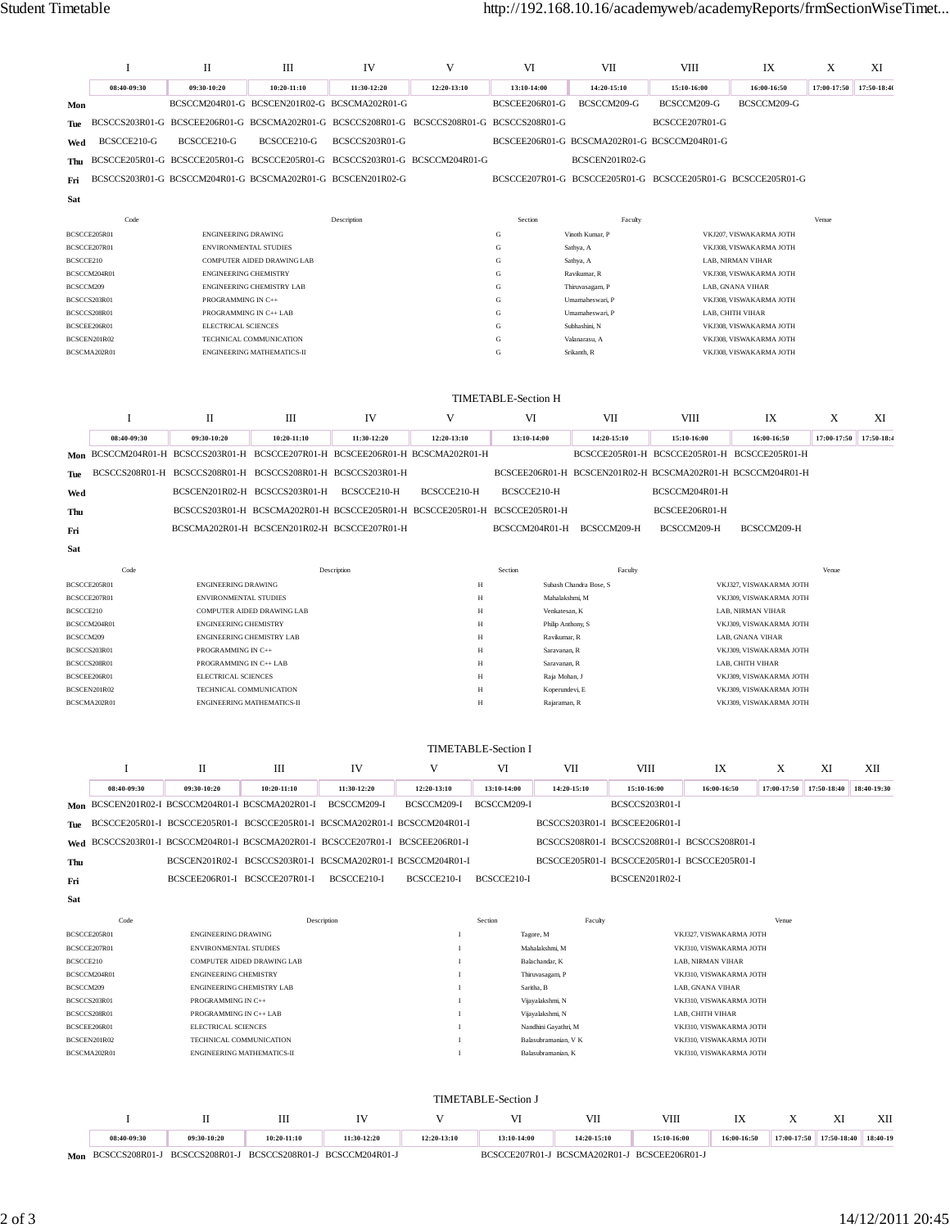## Student Timetable http://192.168.10.16/academyweb/academyReports/frmSectionWiseTimet...

|                              | Ι                                                                                                | П                                                                                         | Ш                                | IV                                           | V                                                                          | VI                          |                                    | VII                                          | VIII                                                        | IX                                                 |             | X           | XI          |
|------------------------------|--------------------------------------------------------------------------------------------------|-------------------------------------------------------------------------------------------|----------------------------------|----------------------------------------------|----------------------------------------------------------------------------|-----------------------------|------------------------------------|----------------------------------------------|-------------------------------------------------------------|----------------------------------------------------|-------------|-------------|-------------|
|                              | 08:40-09:30                                                                                      | 09:30-10:20                                                                               | $10:20 - 11:10$                  | 11:30-12:20                                  | 12:20-13:10                                                                | 13:10-14:00                 |                                    | 14:20-15:10                                  | 15:10-16:00                                                 | 16:00-16:50                                        |             | 17:00-17:50 | 17:50-18:40 |
| Mon                          |                                                                                                  | BCSCCM204R01-G BCSCEN201R02-G BCSCMA202R01-G                                              |                                  |                                              |                                                                            | BCSCEE206R01-G              |                                    | BCSCCM209-G                                  | BCSCCM209-G                                                 | BCSCCM209-G                                        |             |             |             |
| Tue                          |                                                                                                  | BCSCCS203R01-G BCSCEE206R01-G BCSCMA202R01-G BCSCCS208R01-G BCSCCS208R01-G BCSCCS208R01-G |                                  |                                              |                                                                            |                             |                                    |                                              | BCSCCE207R01-G                                              |                                                    |             |             |             |
| Wed                          | BCSCCE210-G                                                                                      | BCSCCE210-G                                                                               | BCSCCE210-G                      | BCSCCS203R01-G                               |                                                                            |                             |                                    |                                              | BCSCEE206R01-G BCSCMA202R01-G BCSCCM204R01-G                |                                                    |             |             |             |
| Thu                          |                                                                                                  | BCSCCE205R01-G BCSCCE205R01-G BCSCCE205R01-G BCSCCS203R01-G BCSCCM204R01-G                |                                  |                                              |                                                                            |                             |                                    | BCSCEN201R02-G                               |                                                             |                                                    |             |             |             |
| Fri                          |                                                                                                  | BCSCCS203R01-G BCSCCM204R01-G BCSCMA202R01-G BCSCEN201R02-G                               |                                  |                                              |                                                                            |                             |                                    |                                              | BCSCCE207R01-G BCSCCE205R01-G BCSCCE205R01-G BCSCCE205R01-G |                                                    |             |             |             |
| <b>Sat</b>                   |                                                                                                  |                                                                                           |                                  |                                              |                                                                            |                             |                                    |                                              |                                                             |                                                    |             |             |             |
|                              | Code                                                                                             |                                                                                           |                                  | Description                                  |                                                                            | Section                     |                                    | Faculty                                      |                                                             |                                                    |             | Venue       |             |
| BCSCCE205R01<br>BCSCCE207R01 |                                                                                                  | ENGINEERING DRAWING<br>ENVIRONMENTAL STUDIES                                              |                                  |                                              |                                                                            | G<br>G                      | Vinoth Kumar, P<br>Sathya, A       |                                              |                                                             | VKJ207, VISWAKARMA JOTH<br>VKJ308, VISWAKARMA JOTH |             |             |             |
| BCSCCE210                    |                                                                                                  |                                                                                           | COMPUTER AIDED DRAWING LAB       |                                              |                                                                            | G                           | Sathya, A                          |                                              |                                                             | LAB, NIRMAN VIHAR                                  |             |             |             |
|                              | BCSCCM204R01                                                                                     | <b>ENGINEERING CHEMISTRY</b>                                                              |                                  |                                              |                                                                            | G<br>G                      | Ravikumar, R                       |                                              |                                                             | VKJ308, VISWAKARMA JOTH                            |             |             |             |
| BCSCCM209<br>BCSCCS203R01    |                                                                                                  | PROGRAMMING IN C++                                                                        | ENGINEERING CHEMISTRY LAB        |                                              |                                                                            | G                           | Thiruvasagam, P<br>Umamaheswari, P |                                              |                                                             | LAB, GNANA VIHAR<br>VKJ308, VISWAKARMA JOTH        |             |             |             |
| BCSCCS208R01                 |                                                                                                  |                                                                                           | PROGRAMMING IN C++ LAB           |                                              |                                                                            | G                           | Umamaheswari, P                    |                                              |                                                             | LAB, CHITH VIHAR                                   |             |             |             |
| BCSCEE206R01<br>BCSCEN201R02 |                                                                                                  | ELECTRICAL SCIENCES                                                                       | TECHNICAL COMMUNICATION          |                                              |                                                                            | G<br>G                      | Subhashini, N<br>Valanarasu, A     |                                              |                                                             | VKJ308, VISWAKARMA JOTH<br>VKJ308, VISWAKARMA JOTH |             |             |             |
|                              | BCSCMA202R01<br><b>ENGINEERING MATHEMATICS-II</b><br>Srikanth, R<br>VKJ308, VISWAKARMA JOTH<br>G |                                                                                           |                                  |                                              |                                                                            |                             |                                    |                                              |                                                             |                                                    |             |             |             |
|                              |                                                                                                  |                                                                                           |                                  |                                              |                                                                            |                             |                                    |                                              |                                                             |                                                    |             |             |             |
|                              |                                                                                                  |                                                                                           |                                  |                                              |                                                                            | <b>TIMETABLE-Section H</b>  |                                    |                                              |                                                             |                                                    |             |             |             |
|                              | 1                                                                                                | П                                                                                         | Ш                                | IV                                           | V                                                                          | VI                          |                                    | VII                                          | VIII                                                        | IX                                                 |             | Χ           | XI          |
|                              | 08:40-09:30                                                                                      | 09:30-10:20                                                                               | 10:20-11:10                      | 11:30-12:20                                  | 12:20-13:10                                                                | 13:10-14:00                 |                                    | 14:20-15:10                                  | 15:10-16:00                                                 | 16:00-16:50                                        |             | 17:00-17:50 | 17:50-18:4  |
| Mon                          |                                                                                                  | BCSCCM204R01-H BCSCCS203R01-H BCSCCE207R01-H BCSCEE206R01-H BCSCMA202R01-H                |                                  |                                              |                                                                            |                             |                                    |                                              | BCSCCE205R01-H BCSCCE205R01-H BCSCCE205R01-H                |                                                    |             |             |             |
| Tue                          |                                                                                                  | BCSCCS208R01-H BCSCCS208R01-H BCSCCS208R01-H BCSCCS203R01-H                               |                                  |                                              |                                                                            |                             |                                    |                                              | BCSCEE206R01-H BCSCEN201R02-H BCSCMA202R01-H BCSCCM204R01-H |                                                    |             |             |             |
| Wed                          |                                                                                                  |                                                                                           | BCSCEN201R02-H BCSCCS203R01-H    | BCSCCE210-H                                  | BCSCCE210-H                                                                | BCSCCE210-H                 |                                    |                                              | BCSCCM204R01-H                                              |                                                    |             |             |             |
| Thu                          |                                                                                                  |                                                                                           |                                  |                                              | BCSCCS203R01-H BCSCMA202R01-H BCSCCE205R01-H BCSCCE205R01-H BCSCCE205R01-H |                             |                                    |                                              | BCSCEE206R01-H                                              |                                                    |             |             |             |
| Fri                          |                                                                                                  |                                                                                           |                                  | BCSCMA202R01-H BCSCEN201R02-H BCSCCE207R01-H |                                                                            | BCSCCM204R01-H              |                                    | BCSCCM209-H                                  | BCSCCM209-H                                                 | BCSCCM209-H                                        |             |             |             |
| Sat                          |                                                                                                  |                                                                                           |                                  |                                              |                                                                            |                             |                                    |                                              |                                                             |                                                    |             |             |             |
|                              | Code                                                                                             |                                                                                           |                                  | Description                                  |                                                                            | Section                     |                                    | Faculty                                      |                                                             |                                                    |             | Venue       |             |
| BCSCCE205R01                 |                                                                                                  | <b>ENGINEERING DRAWING</b>                                                                |                                  |                                              | $_{\rm H}$                                                                 |                             | Subash Chandra Bose, S             |                                              |                                                             | VKJ327, VISWAKARMA JOTH                            |             |             |             |
| BCSCCE207R01<br>BCSCCE210    |                                                                                                  | <b>ENVIRONMENTAL STUDIES</b>                                                              | COMPUTER AIDED DRAWING LAB       |                                              | $_{\rm H}$<br>$_{\rm H}$                                                   |                             | Mahalakshmi, M<br>Venkatesan, K    |                                              |                                                             | VKJ309, VISWAKARMA JOTH<br>LAB, NIRMAN VIHAR       |             |             |             |
|                              | BCSCCM204R01                                                                                     | <b>ENGINEERING CHEMISTRY</b>                                                              |                                  |                                              | $_{\rm H}$                                                                 |                             | Philip Anthony, S                  |                                              |                                                             | VKJ309, VISWAKARMA JOTH                            |             |             |             |
| BCSCCM209<br>BCSCCS203R01    |                                                                                                  | PROGRAMMING IN C++                                                                        | <b>ENGINEERING CHEMISTRY LAB</b> |                                              | $_{\rm H}$<br>$_{\rm H}$                                                   |                             | Ravikumar, R<br>Saravanan, R       |                                              |                                                             | LAB, GNANA VIHAR<br>VKJ309, VISWAKARMA JOTH        |             |             |             |
| BCSCCS208R01                 |                                                                                                  | PROGRAMMING IN C++ LAB                                                                    |                                  |                                              | $_{\rm H}$                                                                 |                             | Saravanan, R                       |                                              |                                                             | LAB. CHITH VIHAR                                   |             |             |             |
| BCSCEE206R01<br>BCSCEN201R02 |                                                                                                  | <b>ELECTRICAL SCIENCES</b><br>TECHNICAL COMMUNICATION                                     |                                  |                                              | $_{\rm H}$<br>$_{\rm H}$                                                   |                             | Raja Mohan, J                      |                                              |                                                             | VKJ309, VISWAKARMA JOTH<br>VKJ309, VISWAKARMA JOTH |             |             |             |
|                              | BCSCMA202R01                                                                                     |                                                                                           | ENGINEERING MATHEMATICS-II       |                                              | $_{\rm H}$                                                                 |                             | Koperundevi, E<br>Rajaraman, R     |                                              |                                                             | VKJ309, VISWAKARMA JOTH                            |             |             |             |
|                              |                                                                                                  |                                                                                           |                                  |                                              |                                                                            |                             |                                    |                                              |                                                             |                                                    |             |             |             |
|                              |                                                                                                  |                                                                                           |                                  |                                              | TIMETABLE-Section I                                                        |                             |                                    |                                              |                                                             |                                                    |             |             |             |
|                              | Ι.                                                                                               | П                                                                                         | Ш                                | IV                                           | V                                                                          | VI                          | VII                                | <b>VIII</b>                                  | IX                                                          | X                                                  |             | XI          | XII         |
|                              | 08:40-09:30                                                                                      | 09:30-10:20                                                                               | 10:20-11:10                      | 11:30-12:20                                  | 12:20-13:10                                                                | 13:10-14:00                 | 14:20-15:10                        | 15:10-16:00                                  | 16:00-16:50                                                 | 17:00-17:50                                        |             | 17:50-18:40 | 18:40-19:30 |
|                              |                                                                                                  | Mon BCSCEN201R02-I BCSCCM204R01-I BCSCMA202R01-I                                          |                                  | BCSCCM209-I                                  | BCSCCM209-I                                                                | BCSCCM209-I                 |                                    | BCSCCS203R01-I                               |                                                             |                                                    |             |             |             |
| Tue                          |                                                                                                  | BCSCCE205R01-I BCSCCE205R01-I BCSCCE205R01-I BCSCMA202R01-I BCSCCM204R01-I                |                                  |                                              |                                                                            |                             |                                    | BCSCCS203R01-I BCSCEE206R01-I                |                                                             |                                                    |             |             |             |
| Wed                          |                                                                                                  | BCSCCS203R01-I BCSCCM204R01-I BCSCMA202R01-I BCSCCE207R01-I BCSCEE206R01-I                |                                  |                                              |                                                                            |                             |                                    |                                              | BCSCCS208R01-I BCSCCS208R01-I BCSCCS208R01-I                |                                                    |             |             |             |
| Thu                          |                                                                                                  | BCSCEN201R02-I BCSCCS203R01-I BCSCMA202R01-I BCSCCM204R01-I                               |                                  |                                              |                                                                            |                             |                                    |                                              | BCSCCE205R01-I BCSCCE205R01-I BCSCCE205R01-I                |                                                    |             |             |             |
| Fri                          |                                                                                                  | BCSCEE206R01-I BCSCCE207R01-I                                                             |                                  | BCSCCE210-I                                  | BCSCCE210-I                                                                | BCSCCE210-I                 |                                    | BCSCEN201R02-I                               |                                                             |                                                    |             |             |             |
| Sat                          |                                                                                                  |                                                                                           |                                  |                                              |                                                                            |                             |                                    |                                              |                                                             |                                                    |             |             |             |
|                              | Code                                                                                             |                                                                                           | Description                      |                                              |                                                                            | Section                     |                                    | Faculty                                      |                                                             |                                                    | Venue       |             |             |
| BCSCCE205R01<br>BCSCCE207R01 |                                                                                                  | <b>ENGINEERING DRAWING</b><br>ENVIRONMENTAL STUDIES                                       |                                  |                                              | $\mathbf{I}$                                                               | Tagore, M<br>Mahalakshmi, M |                                    |                                              | VKJ327, VISWAKARMA JOTH<br>VKJ310, VISWAKARMA JOTH          |                                                    |             |             |             |
| BCSCCE210                    |                                                                                                  | COMPUTER AIDED DRAWING LAB                                                                |                                  |                                              |                                                                            | Balachandar, K              |                                    |                                              | LAB, NIRMAN VIHAR                                           |                                                    |             |             |             |
|                              | BCSCCM204R01                                                                                     | <b>ENGINEERING CHEMISTRY</b>                                                              |                                  |                                              | $\mathbf{I}$                                                               | Thiruvasagam, P             |                                    |                                              | VKJ310, VISWAKARMA JOTH                                     |                                                    |             |             |             |
| BCSCCM209<br>BCSCCS203R01    |                                                                                                  | ENGINEERING CHEMISTRY LAB<br>PROGRAMMING IN C++                                           |                                  |                                              | Saritha, B<br>Vijayalakshmi, N<br>$\mathbf{I}$                             |                             |                                    |                                              | LAB, GNANA VIHAR<br>VKJ310, VISWAKARMA JOTH                 |                                                    |             |             |             |
| BCSCCS208R01                 |                                                                                                  | PROGRAMMING IN C++ LAB                                                                    |                                  |                                              | Vijayalakshmi, N<br>$\mathbf{I}$                                           |                             |                                    |                                              | LAB, CHITH VIHAR                                            |                                                    |             |             |             |
| BCSCEE206R01                 | BCSCEN201R02                                                                                     | ELECTRICAL SCIENCES<br>TECHNICAL COMMUNICATION                                            |                                  |                                              | T<br>Nandhini Gayathri, M<br>Balasubramanian, V K<br>$\mathbf{I}$          |                             |                                    |                                              | VKJ310, VISWAKARMA JOTH<br>VKJ310, VISWAKARMA JOTH          |                                                    |             |             |             |
|                              | BCSCMA202R01                                                                                     | <b>ENGINEERING MATHEMATICS-II</b>                                                         |                                  |                                              | $\mathbf{I}$                                                               |                             | Balasubramanian, K                 |                                              | VKJ310, VISWAKARMA JOTH                                     |                                                    |             |             |             |
|                              |                                                                                                  |                                                                                           |                                  |                                              |                                                                            |                             |                                    |                                              |                                                             |                                                    |             |             |             |
|                              |                                                                                                  |                                                                                           |                                  |                                              |                                                                            | <b>TIMETABLE-Section J</b>  |                                    |                                              |                                                             |                                                    |             |             |             |
|                              | Ι                                                                                                | П                                                                                         | Ш                                | IV                                           | V                                                                          | VI                          |                                    | VII                                          | VIII                                                        | IX                                                 | X           | XI          | XII         |
|                              | 08:40-09:30                                                                                      | 09:30-10:20                                                                               | 10:20-11:10                      | 11:30-12:20                                  | 12:20-13:10                                                                | 13:10-14:00                 |                                    | 14:20-15:10                                  | 15:10-16:00                                                 | 16:00-16:50                                        | 17:00-17:50 | 17:50-18:40 | 18:40-19    |
|                              |                                                                                                  | Mon BCSCCS208R01-J BCSCCS208R01-J BCSCCS208R01-J BCSCCM204R01-J                           |                                  |                                              |                                                                            |                             |                                    | BCSCCE207R01-J BCSCMA202R01-J BCSCEE206R01-J |                                                             |                                                    |             |             |             |
|                              |                                                                                                  |                                                                                           |                                  |                                              |                                                                            |                             |                                    |                                              |                                                             |                                                    |             |             |             |